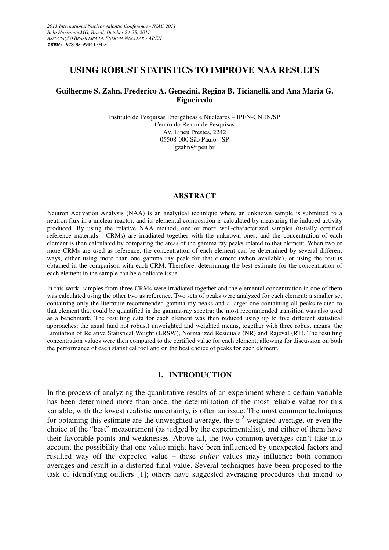### **USING ROBUST STATISTICS TO IMPROVE NAA RESULTS**

### **Guilherme S. Zahn, Frederico A. Genezini, Regina B. Ticianelli, and Ana Maria G. Figueiredo**

Instituto de Pesquisas Energéticas e Nucleares – IPEN-CNEN/SP Centro do Reator de Pesquisas Av. Lineu Prestes, 2242 05508-000 São Paulo - SP gzahn@ipen.br

#### **ABSTRACT**

Neutron Activation Analysis (NAA) is an analytical technique where an unknown sample is submitted to a neutron flux in a nuclear reactor, and its elemental composition is calculated by measuring the induced activity produced. By using the relative NAA method, one or more well-characterized samples (usually certified reference materials - CRMs) are irradiated together with the unknown ones, and the concentration of each element is then calculated by comparing the areas of the gamma ray peaks related to that element. When two or more CRMs are used as reference, the concentration of each element can be determined by several different ways, either using more than one gamma ray peak for that element (when available), or using the results obtained in the comparison with each CRM. Therefore, determining the best estimate for the concentration of each element in the sample can be a delicate issue.

In this work, samples from three CRMs were irradiated together and the elemental concentration in one of them was calculated using the other two as reference. Two sets of peaks were analyzed for each element: a smaller set containing only the literature-recommended gamma-ray peaks and a larger one containing all peaks related to that element that could be quantified in the gamma-ray spectra; the most recommended transition was also used as a benchmark. The resulting data for each element was then reduced using up to five different statistical approaches: the usual (and not robust) unweighted and weighted means, together with three robust means: the Limitation of Relative Statistical Weight (LRSW), Normalized Residuals (NR) and Rajeval (RT). The resulting concentration values were then compared to the certified value for each element, allowing for discussion on both the performance of each statistical tool and on the best choice of peaks for each element.

#### **1. INTRODUCTION**

In the process of analyzing the quantitative results of an experiment where a certain variable has been determined more than once, the determination of the most reliable value for this variable, with the lowest realistic uncertainty, is often an issue. The most common techniques for obtaining this estimate are the unweighted average, the  $\sigma^2$ -weighted average, or even the choice of the "best" measurement (as judged by the experimentalist), and either of them have their favorable points and weaknesses. Above all, the two common averages can't take into account the possibility that one value might have been influenced by unexpected factors and resulted way off the expected value – these *oulier* values may influence both common averages and result in a distorted final value. Several techniques have been proposed to the task of identifying outliers [1]; others have suggested averaging procedures that intend to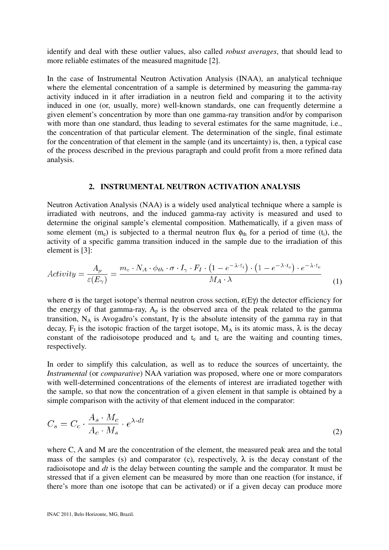identify and deal with these outlier values, also called *robust averages*, that should lead to more reliable estimates of the measured magnitude [2].

In the case of Instrumental Neutron Activation Analysis (INAA), an analytical technique where the elemental concentration of a sample is determined by measuring the gamma-ray activity induced in it after irradiation in a neutron field and comparing it to the activity induced in one (or, usually, more) well-known standards, one can frequently determine a given element's concentration by more than one gamma-ray transition and/or by comparison with more than one standard, thus leading to several estimates for the same magnitude, i.e., the concentration of that particular element. The determination of the single, final estimate for the concentration of that element in the sample (and its uncertainty) is, then, a typical case of the process described in the previous paragraph and could profit from a more refined data analysis.

#### **2. INSTRUMENTAL NEUTRON ACTIVATION ANALYSIS**

Neutron Activation Analysis (NAA) is a widely used analytical technique where a sample is irradiated with neutrons, and the induced gamma-ray activity is measured and used to determine the original sample's elemental composition. Mathematically, if a given mass of some element (m<sub>e</sub>) is subjected to a thermal neutron flux  $\phi_{th}$  for a period of time (t<sub>i</sub>), the activity of a specific gamma transition induced in the sample due to the irradiation of this element is [3]:

$$
Activity = \frac{A_p}{\varepsilon(E_\gamma)} = \frac{m_e \cdot N_A \cdot \phi_{th} \cdot \sigma \cdot I_\gamma \cdot F_I \cdot (1 - e^{-\lambda \cdot t_i}) \cdot (1 - e^{-\lambda \cdot t_c}) \cdot e^{-\lambda \cdot t_e}}{M_A \cdot \lambda}
$$
(1)

where  $\sigma$  is the target isotope's thermal neutron cross section,  $\varepsilon(E\gamma)$  the detector efficiency for the energy of that gamma-ray,  $A_p$  is the observed area of the peak related to the gamma transition,  $N_A$  is Avogadro's constant, Iy is the absolute intensity of the gamma ray in that decay,  $F_I$  is the isotopic fraction of the target isotope,  $M_A$  is its atomic mass,  $\lambda$  is the decay constant of the radioisotope produced and  $t<sub>e</sub>$  and  $t<sub>c</sub>$  are the waiting and counting times, respectively.

In order to simplify this calculation, as well as to reduce the sources of uncertainty, the *Instrumental* (or *comparative*) NAA variation was proposed, where one or more comparators with well-determined concentrations of the elements of interest are irradiated together with the sample, so that now the concentration of a given element in that sample is obtained by a simple comparison with the activity of that element induced in the comparator:

$$
C_s = C_c \cdot \frac{A_s \cdot M_c}{A_c \cdot M_s} \cdot e^{\lambda \cdot dt} \tag{2}
$$

where C, A and M are the concentration of the element, the measured peak area and the total mass of the samples (s) and comparator (c), respectively,  $\lambda$  is the decay constant of the radioisotope and *dt* is the delay between counting the sample and the comparator. It must be stressed that if a given element can be measured by more than one reaction (for instance, if there's more than one isotope that can be activated) or if a given decay can produce more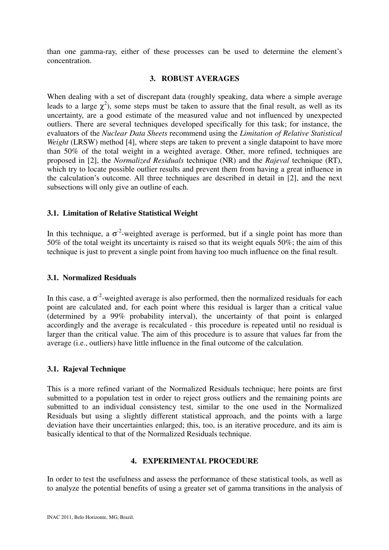than one gamma-ray, either of these processes can be used to determine the element's concentration.

## **3. ROBUST AVERAGES**

When dealing with a set of discrepant data (roughly speaking, data where a simple average leads to a large  $\chi^2$ ), some steps must be taken to assure that the final result, as well as its uncertainty, are a good estimate of the measured value and not influenced by unexpected outliers. There are several techniques developed specifically for this task; for instance, the evaluators of the *Nuclear Data Sheets* recommend using the *Limitation of Relative Statistical Weight* (LRSW) method [4], where steps are taken to prevent a single datapoint to have more than 50% of the total weight in a weighted average. Other, more refined, techniques are proposed in [2], the *Normalized Residuals* technique (NR) and the *Rajeval* technique (RT), which try to locate possible outlier results and prevent them from having a great influence in the calculation's outcome. All three techniques are described in detail in [2], and the next subsections will only give an outline of each.

## **3.1. Limitation of Relative Statistical Weight**

In this technique, a  $\sigma^2$ -weighted average is performed, but if a single point has more than 50% of the total weight its uncertainty is raised so that its weight equals 50%; the aim of this technique is just to prevent a single point from having too much influence on the final result.

## **3.1. Normalized Residuals**

In this case, a  $\sigma^2$ -weighted average is also performed, then the normalized residuals for each point are calculated and, for each point where this residual is larger than a critical value (determined by a 99% probability interval), the uncertainty of that point is enlarged accordingly and the average is recalculated - this procedure is repeated until no residual is larger than the critical value. The aim of this procedure is to assure that values far from the average (i.e., outliers) have little influence in the final outcome of the calculation.

# **3.1. Rajeval Technique**

This is a more refined variant of the Normalized Residuals technique; here points are first submitted to a population test in order to reject gross outliers and the remaining points are submitted to an individual consistency test, similar to the one used in the Normalized Residuals but using a slightly different statistical approach, and the points with a large deviation have their uncertainties enlarged; this, too, is an iterative procedure, and its aim is basically identical to that of the Normalized Residuals technique.

# **4. EXPERIMENTAL PROCEDURE**

In order to test the usefulness and assess the performance of these statistical tools, as well as to analyze the potential benefits of using a greater set of gamma transitions in the analysis of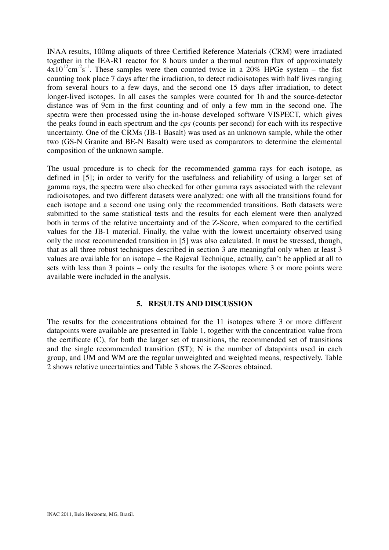INAA results, 100mg aliquots of three Certified Reference Materials (CRM) were irradiated together in the IEA-R1 reactor for 8 hours under a thermal neutron flux of approximately  $4x10^{12}$ cm<sup>-2</sup>s<sup>-1</sup>. These samples were then counted twice in a 20% HPGe system – the fist counting took place 7 days after the irradiation, to detect radioisotopes with half lives ranging from several hours to a few days, and the second one 15 days after irradiation, to detect longer-lived isotopes. In all cases the samples were counted for 1h and the source-detector distance was of 9cm in the first counting and of only a few mm in the second one. The spectra were then processed using the in-house developed software VISPECT, which gives the peaks found in each spectrum and the *cps* (counts per second) for each with its respective uncertainty. One of the CRMs (JB-1 Basalt) was used as an unknown sample, while the other two (GS-N Granite and BE-N Basalt) were used as comparators to determine the elemental composition of the unknown sample.

The usual procedure is to check for the recommended gamma rays for each isotope, as defined in [5]; in order to verify for the usefulness and reliability of using a larger set of gamma rays, the spectra were also checked for other gamma rays associated with the relevant radioisotopes, and two different datasets were analyzed: one with all the transitions found for each isotope and a second one using only the recommended transitions. Both datasets were submitted to the same statistical tests and the results for each element were then analyzed both in terms of the relative uncertainty and of the Z-Score, when compared to the certified values for the JB-1 material. Finally, the value with the lowest uncertainty observed using only the most recommended transition in [5] was also calculated. It must be stressed, though, that as all three robust techniques described in section 3 are meaningful only when at least 3 values are available for an isotope – the Rajeval Technique, actually, can't be applied at all to sets with less than 3 points – only the results for the isotopes where 3 or more points were available were included in the analysis.

### **5. RESULTS AND DISCUSSION**

The results for the concentrations obtained for the 11 isotopes where 3 or more different datapoints were available are presented in Table 1, together with the concentration value from the certificate (C), for both the larger set of transitions, the recommended set of transitions and the single recommended transition (ST); N is the number of datapoints used in each group, and UM and WM are the regular unweighted and weighted means, respectively. Table 2 shows relative uncertainties and Table 3 shows the Z-Scores obtained.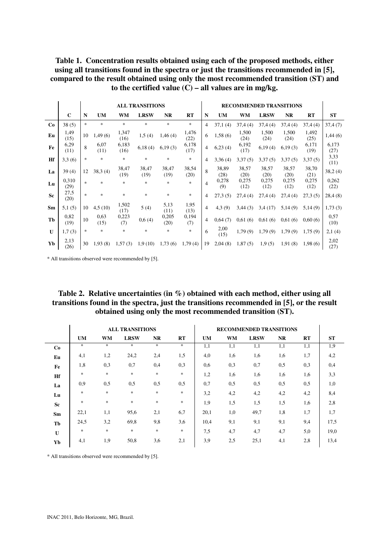**Table 1. Concentration results obtained using each of the proposed methods, either using all transitions found in the spectra or just the transitions recommended in [5], compared to the result obtained using only the most recommended transition (ST) and to the certified value (C) – all values are in mg/kg.** 

|              |               | <b>ALL TRANSITIONS</b>            |              |               |               |               |               | <b>RECOMMENDED TRANSITIONS</b> |               |               |               |               |               |               |
|--------------|---------------|-----------------------------------|--------------|---------------|---------------|---------------|---------------|--------------------------------|---------------|---------------|---------------|---------------|---------------|---------------|
|              | $\mathbf C$   | N                                 | <b>UM</b>    | <b>WM</b>     | <b>LRSW</b>   | <b>NR</b>     | RT            | N                              | <b>UM</b>     | WM            | <b>LRSW</b>   | <b>NR</b>     | RT            | <b>ST</b>     |
| Co           | 38(5)         | *                                 | *            | $\ast$        | $\ast$        | $\ast$        | $\ast$        | 4                              | 37,1(4)       | 37,4(4)       | 37,4(4)       | 37,4(4)       | 37,4(4)       | 37,4(7)       |
| Eu           | 1,49<br>(15)  | 10                                | 1,49 (6)     | 1,347<br>(16) | 1,5(4)        | 1,46(4)       | 1,476<br>(22) | 6                              | 1,58(6)       | 1,500<br>(24) | 1,500<br>(24) | 1,500<br>(24) | 1,492<br>(25) | 1,44(6)       |
| Fe           | 6,29<br>(11)  | 8                                 | 6,07<br>(11) | 6,183<br>(16) | 6,18(4)       | 6,19(3)       | 6,178<br>(17) | 4                              | 6,23(4)       | 6,192<br>(17) | 6,19(4)       | 6,19(3)       | 6,171<br>(19) | 6,173<br>(27) |
| Hf           | 3,3(6)        | $\frac{1}{2}$                     | *            | $\ast$        | $\ast$        | $\frac{1}{2}$ | $\ast$        | 4                              | 3,36(4)       | 3,37(5)       | 3,37(5)       | 3,37(5)       | 3,37(5)       | 3,33<br>(11)  |
| La           | 39(4)         | 12                                | 38,3(4)      | 38,47<br>(19) | 38,47<br>(19) | 38,47<br>(19) | 38,54<br>(20) | $\mathbf{8}$                   | 38,89<br>(28) | 38,57<br>(20) | 38,57<br>(20) | 38,57<br>(20) | 38,70<br>(21) | 38,2(4)       |
| Lu           | 0,310<br>(29) | $\frac{d\mathbf{x}}{d\mathbf{x}}$ | *            | $\ast$        | $\ast$        | $\frac{1}{2}$ | $\ast$        | 4                              | 0,278<br>(9)  | 0,275<br>(12) | 0,275<br>(12) | 0,275<br>(12) | 0,275<br>(12) | 0,262<br>(22) |
| <b>Sc</b>    | 27,5<br>(20)  | $\frac{1}{2}$                     | *            | $\ast$        | $\ast$        | $\frac{1}{2}$ | $\ast$        | 4                              | 27,3(5)       | 27,4(4)       | 27,4(4)       | 27,4(4)       | 27,3(5)       | 28,4(8)       |
| Sm           | 5,1(5)        | 10                                | 4,5(10)      | 1,502<br>(17) | 5(4)          | 5,13<br>(11)  | 1,95<br>(13)  | 4                              | 4,3(9)        | 3,44(3)       | 3,4(17)       | 5,14(9)       | 5,14(9)       | 1,73(3)       |
| Tb           | 0,82<br>(19)  | 10                                | 0.63<br>(15) | 0,223<br>(7)  | 0,6(4)        | 0,205<br>(20) | 0,194<br>(7)  | 4                              | 0,64(7)       | 0,61(6)       | 0,61(6)       | 0,61(6)       | 0,60(6)       | 0,57<br>(10)  |
| $\mathbf{U}$ | 1,7(3)        | $\frac{1}{2}$                     | *            | $\ast$        | $\ast$        | $\frac{1}{2}$ | $*$           | 6                              | 2,00<br>(15)  | 1,79(9)       | 1,79(9)       | 1,79(9)       | 1,75(9)       | 2,1(4)        |
| Yb           | 2,13<br>(26)  | 30                                | 1,93(8)      | 1,57(3)       | 1,9(10)       | 1,73(6)       | 1,79(4)       | 19                             | 2,04(8)       | 1,87(5)       | 1,9(5)        | 1,91(8)       | 1,98(6)       | 2,02<br>(27)  |

\* All transitions observed were recommended by [5].

| Table 2. Relative uncertainties (in $\%$ ) obtained with each method, either using all   |
|------------------------------------------------------------------------------------------|
| transitions found in the spectra, just the transitions recommended in [5], or the result |
| obtained using only the most recommended transition (ST).                                |

|    |               |           | <b>ALL TRANSITIONS</b> |           |        | <b>RECOMMENDED TRANSITIONS</b> |           |             |           |     |           |
|----|---------------|-----------|------------------------|-----------|--------|--------------------------------|-----------|-------------|-----------|-----|-----------|
|    | <b>UM</b>     | <b>WM</b> | <b>LRSW</b>            | <b>NR</b> | RT     | <b>UM</b>                      | <b>WM</b> | <b>LRSW</b> | <b>NR</b> | RT  | <b>ST</b> |
| Co | *             | $\ast$    | $*$                    | $\ast$    | $\ast$ | 1,1                            | 1,1       | 1,1         | 1,1       | 1,1 | 1,9       |
| Eu | 4,1           | 1,2       | 24,2                   | 2,4       | 1,5    | 4,0                            | 1,6       | 1,6         | 1,6       | 1,7 | 4,2       |
| Fe | 1,8           | 0,3       | 0,7                    | 0,4       | 0,3    | 0,6                            | 0,3       | 0,7         | 0,5       | 0,3 | 0,4       |
| Hf | $\frac{1}{2}$ | $\ast$    | $\ast$                 | $\ast$    | $\ast$ | 1,2                            | 1,6       | 1,6         | 1,6       | 1,6 | 3,3       |
| La | 0.9           | 0,5       | 0,5                    | 0,5       | 0,5    | 0,7                            | 0,5       | 0,5         | 0,5       | 0,5 | 1,0       |
| Lu | $\frac{1}{2}$ | $\ast$    | $\ast$                 | $\ast$    | $\ast$ | 3,2                            | 4,2       | 4,2         | 4,2       | 4,2 | 8,4       |
| Sc | $\frac{1}{2}$ | $\ast$    | $\ast$                 | $\ast$    | $\ast$ | 1,9                            | 1,5       | 1,5         | 1,5       | 1,6 | 2,8       |
| Sm | 22,1          | 1,1       | 95,6                   | 2,1       | 6,7    | 20,1                           | 1,0       | 49,7        | 1,8       | 1,7 | 1,7       |
| Tb | 24,5          | 3,2       | 69,8                   | 9,8       | 3,6    | 10,4                           | 9,1       | 9,1         | 9,1       | 9,4 | 17.5      |
| U  | $\ast$        | $\ast$    | $\ast$                 | $\ast$    | $\ast$ | 7,5                            | 4,7       | 4,7         | 4,7       | 5,0 | 19,0      |
| Yb | 4,1           | 1,9       | 50,8                   | 3,6       | 2,1    | 3,9                            | 2,5       | 25,1        | 4,1       | 2,8 | 13,4      |

\* All transitions observed were recommended by [5].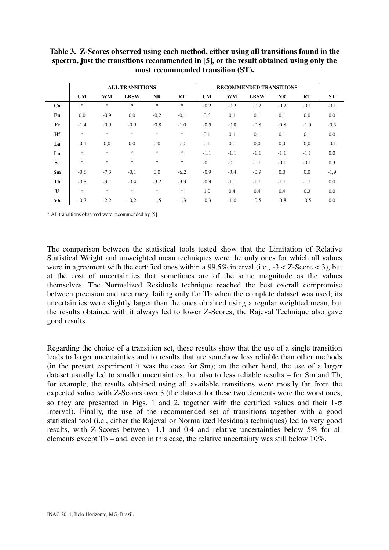|    |                                   |           | <b>ALL TRANSITIONS</b> |           |           | <b>RECOMMENDED TRANSITIONS</b> |           |             |           |        |           |
|----|-----------------------------------|-----------|------------------------|-----------|-----------|--------------------------------|-----------|-------------|-----------|--------|-----------|
|    | <b>UM</b>                         | <b>WM</b> | <b>LRSW</b>            | <b>NR</b> | <b>RT</b> | <b>UM</b>                      | <b>WM</b> | <b>LRSW</b> | <b>NR</b> | RT     | <b>ST</b> |
| Co | $\frac{d\mathbf{r}}{d\mathbf{r}}$ | $\ast$    | $\ast$                 | $\ast$    | $\ast$    | $-0,2$                         | $-0,2$    | $-0,2$      | $-0,2$    | $-0,1$ | $-0,1$    |
| Eu | 0.0                               | $-0,9$    | 0,0                    | $-0,2$    | $-0,1$    | 0,6                            | 0,1       | 0,1         | 0,1       | 0,0    | 0,0       |
| Fe | $-1,4$                            | $-0,9$    | $-0,9$                 | $-0,8$    | $-1,0$    | $-0,5$                         | $-0,8$    | $-0,8$      | $-0,8$    | $-1,0$ | $-0,3$    |
| Hf | $\ast$                            | $\ast$    | $\ast$                 | $\ast$    | $\ast$    | 0,1                            | 0,1       | 0,1         | 0,1       | 0,1    | 0,0       |
| La | $-0,1$                            | 0,0       | 0,0                    | 0,0       | 0,0       | 0,1                            | 0,0       | 0,0         | 0,0       | 0,0    | $-0,1$    |
| Lu | $\frac{1}{2}$                     | $\ast$    | $\ast$                 | $\ast$    | $\ast$    | $-1,1$                         | $-1,1$    | $-1,1$      | $-1,1$    | $-1,1$ | 0,0       |
| Sc | $\frac{d\mathbf{r}}{d\mathbf{r}}$ | $\ast$    | $\ast$                 | $\ast$    | $\ast$    | $-0,1$                         | $-0,1$    | $-0,1$      | $-0,1$    | $-0,1$ | 0,3       |
| Sm | $-0.6$                            | $-7,3$    | $-0,1$                 | 0,0       | $-6,2$    | $-0.9$                         | $-3,4$    | $-0,9$      | 0,0       | 0,0    | $-1,9$    |
| Tb | $-0.8$                            | $-3,1$    | $-0,4$                 | $-3,2$    | $-3,3$    | $-0.9$                         | $-1,1$    | $-1,1$      | $-1,1$    | $-1,1$ | 0,0       |
| U  | $\frac{1}{2}$                     | $\ast$    | $\ast$                 | $\ast$    | $\ast$    | 1,0                            | 0,4       | 0,4         | 0,4       | 0,3    | 0,0       |
| Yb | $-0,7$                            | $-2,2$    | $-0,2$                 | $-1,5$    | $-1,3$    | $-0,3$                         | $-1,0$    | $-0,5$      | $-0,8$    | $-0,5$ | 0,0       |

**Table 3. Z-Scores observed using each method, either using all transitions found in the spectra, just the transitions recommended in [5], or the result obtained using only the most recommended transition (ST).** 

\* All transitions observed were recommended by [5].

The comparison between the statistical tools tested show that the Limitation of Relative Statistical Weight and unweighted mean techniques were the only ones for which all values were in agreement with the certified ones within a 99.5% interval (i.e.,  $-3 < Z$ -Score  $< 3$ ), but at the cost of uncertainties that sometimes are of the same magnitude as the values themselves. The Normalized Residuals technique reached the best overall compromise between precision and accuracy, failing only for Tb when the complete dataset was used; its uncertainties were slightly larger than the ones obtained using a regular weighted mean, but the results obtained with it always led to lower Z-Scores; the Rajeval Technique also gave good results.

Regarding the choice of a transition set, these results show that the use of a single transition leads to larger uncertainties and to results that are somehow less reliable than other methods (in the present experiment it was the case for Sm); on the other hand, the use of a larger dataset usually led to smaller uncertainties, but also to less reliable results – for Sm and Tb, for example, the results obtained using all available transitions were mostly far from the expected value, with Z-Scores over 3 (the dataset for these two elements were the worst ones, so they are presented in Figs. 1 and 2, together with the certified values and their  $1-\sigma$ interval). Finally, the use of the recommended set of transitions together with a good statistical tool (i.e., either the Rajeval or Normalized Residuals techniques) led to very good results, with Z-Scores between -1.1 and 0.4 and relative uncertainties below 5% for all elements except Tb – and, even in this case, the relative uncertainty was still below 10%.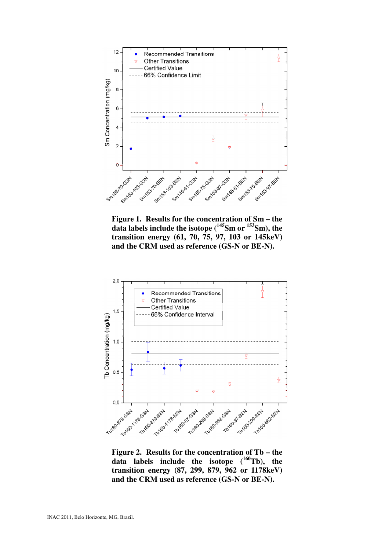

**Figure 1. Results for the concentration of Sm – the data labels include the isotope (<sup>145</sup>Sm or <sup>153</sup>Sm), the transition energy (61, 70, 75, 97, 103 or 145keV) and the CRM used as reference (GS-N or BE-N).** 



**Figure 2. Results for the concentration of Tb – the data labels include the isotope (<sup>160</sup>Tb), the transition energy (87, 299, 879, 962 or 1178keV) and the CRM used as reference (GS-N or BE-N).**